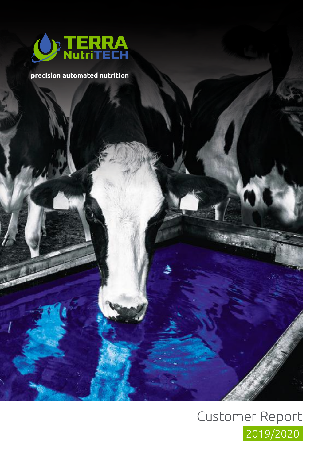

precision automated nutrition

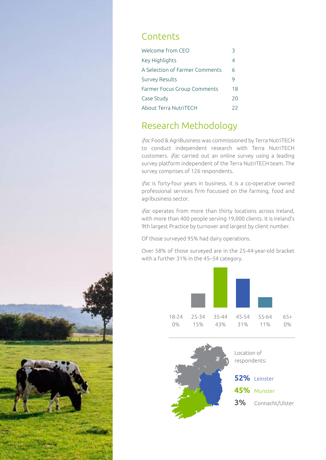#### **Contents**

| Welcome from CFO                   |    |
|------------------------------------|----|
| Key Highlights                     |    |
| A Selection of Farmer Comments     | 6  |
| <b>Survey Results</b>              | 9  |
| <b>Farmer Focus Group Comments</b> | 18 |
| Case Study                         | 20 |
| About Terra NutriTECH              | 22 |

#### Research Methodology

*ifac* Food & AgriBusiness was commissioned by Terra NutriTECH to conduct independent research with Terra NutriTECH customers. *ifac* carried out an online survey using a leading survey platform independent of the Terra NutriTECH team. The survey comprises of 126 respondents.

*ifac* is forty-four years in business, it is a co-operative owned professional services firm focussed on the farming, food and agribusiness sector.

*ifac* operates from more than thirty locations across Ireland, with more than 400 people serving 19,000 clients. It is Ireland's 9th largest Practice by turnover and largest by client number.

Of those surveyed 95% had dairy operations.

Over 58% of those surveyed are in the 25-44-year-old bracket with a further 31% in the 45–54 category.





Location of respondents:

| 52% Leinster              |
|---------------------------|
| 45% Munster               |
| <b>3%</b> Connacht/Ulster |

2 | Terra NutriTech Customer Report 2019/2020 | 3 | Terra NutriTech Customer Report 2019/2020 | 3 | 3 | 3 | 3 |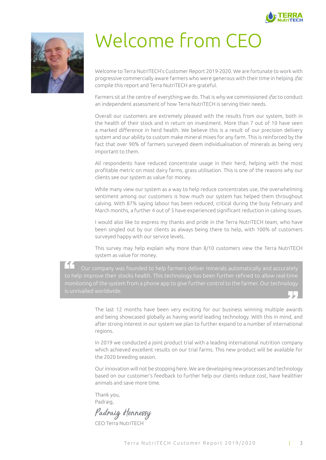



## Welcome from CEO

Welcome to Terra NutriTECH's Customer Report 2019-2020. We are fortunate to work with progressive commercially aware farmers who were generous with their time in helping *ifac* compile this report and Terra NutriTECH are grateful.

Farmers sit at the centre of everything we do. That is why we commissioned *ifac* to conduct an independent assessment of how Terra NutriTECH is serving their needs.

Overall our customers are extremely pleased with the results from our system, both in the health of their stock and in return on investment. More than 7 out of 10 have seen a marked difference in herd health. We believe this is a result of our precision delivery system and our ability to custom make mineral mixes for any farm. This is reinforced by the fact that over 90% of farmers surveyed deem individualisation of minerals as being very important to them.

All respondents have reduced concentrate usage in their herd, helping with the most profitable metric on most dairy farms, grass utilisation. This is one of the reasons why our clients see our system as value for money.

While many view our system as a way to help reduce concentrates use, the overwhelming sentiment among our customers is how much our system has helped them throughout calving. With 87% saying labour has been reduced, critical during the busy February and March months, a further 4 out of 5 have experienced significant reduction in calving issues.

I would also like to express my thanks and pride in the Terra NutriTECH team, who have been singled out by our clients as always being there to help, with 100% of customers surveyed happy with our service levels.

This survey may help explain why more than 8/10 customers view the Terra NutriTECH system as value for money.

Our company was founded to help farmers deliver minerals automatically and accurately to help improve their stocks health. This technology has been further refined to allow real-time monitoring of the system from a phone app to give further control to the farmer. Our technology

> The last 12 months have been very exciting for our business winning multiple awards and being showcased globally as having world leading technology. With this in mind, and after strong interest in our system we plan to further expand to a number of international regions.

> In 2019 we conducted a joint product trial with a leading international nutrition company which achieved excellent results on our trial farms. This new product will be available for the 2020 breeding season.

> Our innovation will not be stopping here. We are developing new processes and technology based on our customer's feedback to further help our clients reduce cost, have healthier animals and save more time.

Thank you, Padraig,

Padraig Hennessy CEO Terra NutriTECH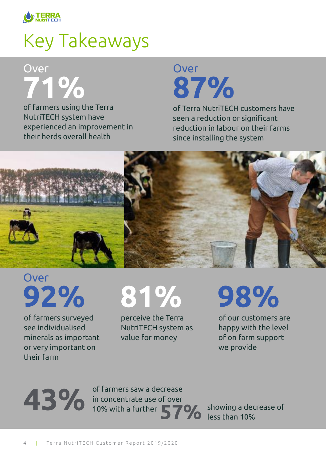

# Key Takeaways

# **71% 87% 88% 68% Property**<br>of farmers using the Terra Over Over Over

of farmers using the Terra NutriTECH system have experienced an improvement in their herds overall health

# **87%**

of Terra NutriTECH customers have seen a reduction or significant reduction in labour on their farms since installing the system



# **Over**

of farmers surveyed see individualised minerals as important or very important on their farm

# **92% 81% 98% 4**

perceive the Terra NutriTECH system as value for money

of our customers are happy with the level of on farm support we provide

of farmers saw a decrease in concentrate use of over 10% with a further  $\blacktriangleright$   $\blacktriangleright$   $\blacktriangleright$  showing a decrease of of farmers saw a decrease<br>
10% with a further 57% showing a decrease<br>
10% with a further 57% showing a dec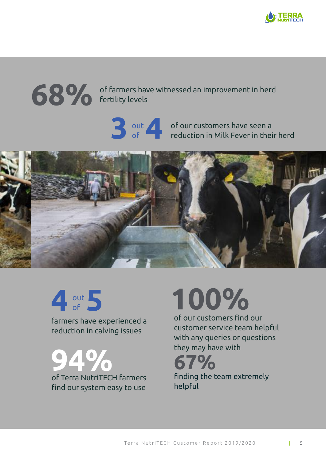

#### of farmers have witnessed an improvement in herd fertility levels **71% 68%**



out of our customers have seen a reduction in Milk Fever in their herd





farmers have experienced a reduction in calving issues

of Terra NutriTECH farmers find our system easy to use **94%** 

# **100%**

of our customers find our customer service team helpful with any queries or questions they may have with

**67%** 

finding the team extremely helpful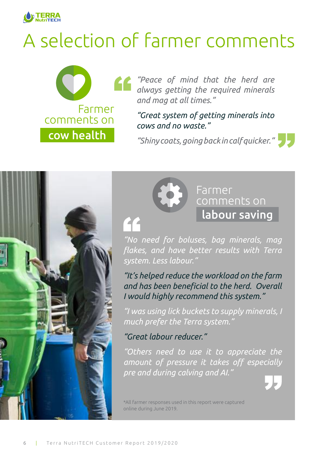

## A selection of farmer comments



*"Peace of mind that the herd are always getting the required minerals and mag at all times."*

*"Great system of getting minerals into cows and no waste."* 

*"Shiny coats, going back in calf quicker."*



#### Farmer comments on labour saving

*"No need for boluses, bag minerals, mag flakes, and have better results with Terra system. Less labour."*

*"It's helped reduce the workload on the farm and has been beneficial to the herd. Overall I would highly recommend this system."*

*"I was using lick buckets to supply minerals, I much prefer the Terra system."*

#### *"Great labour reducer."*

*"Others need to use it to appreciate the amount of pressure it takes off especially pre and during calving and AI."*

\*All farmer responses used in this report were captured online during June 2019.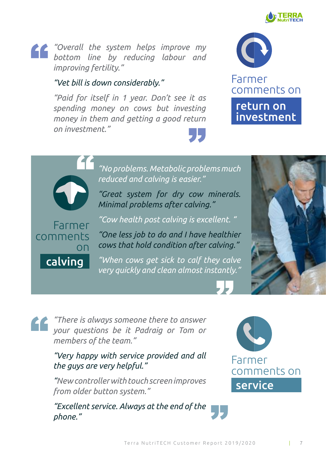

*"Overall the system helps improve my bottom line by reducing labour and improving fertility."*

#### *"Vet bill is down considerably."*

*"Paid for itself in 1 year. Don't see it as spending money on cows but investing money in them and getting a good return on investment."*



Farmer comments on return on

investment

Farmer

on

comments

calving

*"No problems. Metabolic problems much reduced and calving is easier."*

*"Great system for dry cow minerals. Minimal problems after calving."*

*"Cow health post calving is excellent. "*

*"One less job to do and I have healthier cows that hold condition after calving."*

*"When cows get sick to calf they calve very quickly and clean almost instantly."* 



*"There is always someone there to answer your questions be it Padraig or Tom or members of the team."*

*"Very happy with service provided and all the guys are very helpful."*

*"New controller with touch screen improves from older button system."*

*"Excellent service. Always at the end of the phone."*

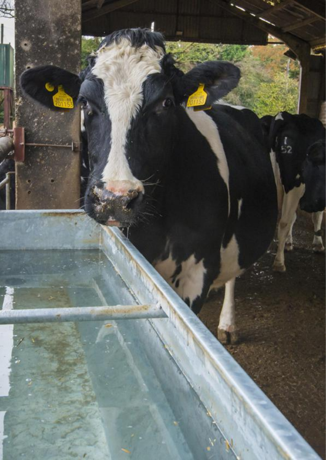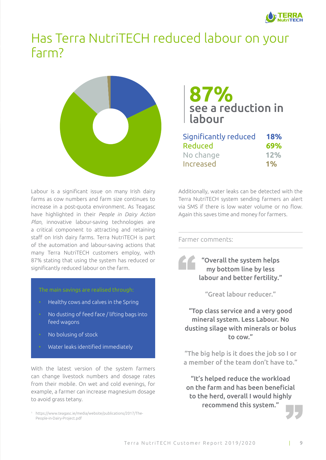

#### Has Terra NutriTECH reduced labour on your farm?



Labour is a significant issue on many Irish dairy farms as cow numbers and farm size continues to increase in a post-quota environment. As Teagasc have highlighted in their *People in Dairy Action Plan*, innovative labour-saving technologies are a critical component to attracting and retaining staff on Irish dairy farms. Terra NutriTECH is part of the automation and labour-saving actions that many Terra NutriTECH customers employ, with 87% stating that using the system has reduced or significantly reduced labour on the farm.

#### The main savings are realised through:

- Healthy cows and calves in the Spring
- No dusting of feed face / lifting bags into feed wagons
- No bolusing of stock
- Water leaks identified immediately

With the latest version of the system farmers can change livestock numbers and dosage rates from their mobile. On wet and cold evenings, for example, a farmer can increase magnesium dosage to avoid grass tetany.

<sup>1</sup> https://www.teagasc.ie/media/website/publications/2017/The-People-in-Dairy-Project.pdf

#### see a reduction in labour **87%**

| Significantly reduced | <b>18%</b> |
|-----------------------|------------|
| Reduced               | 69%        |
| No change             | 12%        |
| Increased             | 1%         |

Additionally, water leaks can be detected with the Terra NutriTECH system sending farmers an alert via SMS if there is low water volume or no flow. Again this saves time and money for farmers.

Farmer comments:

"Overall the system helps my bottom line by less labour and better fertility."

"Great labour reducer."

"Top class service and a very good mineral system. Less Labour. No dusting silage with minerals or bolus to cow."

"The big help is it does the job so I or a member of the team don't have to."

"It's helped reduce the workload on the farm and has been beneficial to the herd, overall I would highly recommend this system."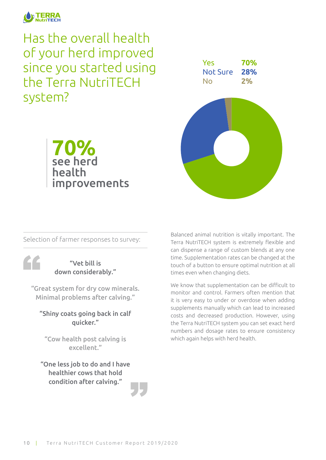

Has the overall health of your herd improved since you started using the Terra NutriTECH system?



Selection of farmer responses to survey:



"Vet bill is down considerably."

"Great system for dry cow minerals. Minimal problems after calving."

"Shiny coats going back in calf quicker."

"Cow health post calving is excellent."

"One less job to do and I have healthier cows that hold condition after calving."



Balanced animal nutrition is vitally important. The Terra NutriTECH system is extremely flexible and can dispense a range of custom blends at any one time. Supplementation rates can be changed at the touch of a button to ensure optimal nutrition at all times even when changing diets.

We know that supplementation can be difficult to monitor and control. Farmers often mention that it is very easy to under or overdose when adding supplements manually which can lead to increased costs and decreased production. However, using the Terra NutriTECH system you can set exact herd numbers and dosage rates to ensure consistency which again helps with herd health.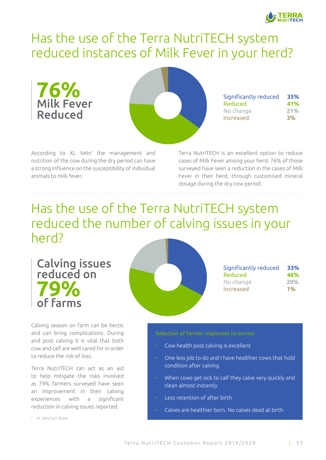

### Has the use of the Terra NutriTECH system reduced instances of Milk Fever in your herd?





| Significantly reduced | 35% |
|-----------------------|-----|
| Reduced               | 41% |
| No change             | 21% |
| Increased             | 3%  |

According to XL Vets<sup>2</sup> the management and nutrition of the cow during the dry period can have a strong influence on the susceptibility of individual animals to milk fever.

Terra NutriTECH is an excellent option to reduce cases of Milk Fever among your herd. 76% of those surveyed have seen a reduction in the cases of Milk Fever in their herd, through customised mineral dosage during the dry cow period.

### Has the use of the Terra NutriTECH system reduced the number of calving issues in your herd?

Calving issues reduced on of farms **79%** 



| 33%   |
|-------|
| 46%   |
| 20%   |
| $1\%$ |
|       |

Calving season on farm can be hectic and can bring complications. During and post calving it is vital that both cow and calf are well cared for in order to reduce the risk of loss.

Terra NutriTECH can act as an aid to help mitigate the risks involved as 79% farmers surveyed have seen an improvement in their calving experiences with a significant reduction in calving issues reported.

<sup>2</sup> XL Vets Fact Sheet

#### Selection of farmer responses to survey:

- Cow health post calving is excellent
- One less job to do and I have healthier cows that hold condition after calving
- When cows get sick to calf they calve very quickly and clean almost instantly
- Less retention of after birth
- Calves are healthier born. No calves dead at birth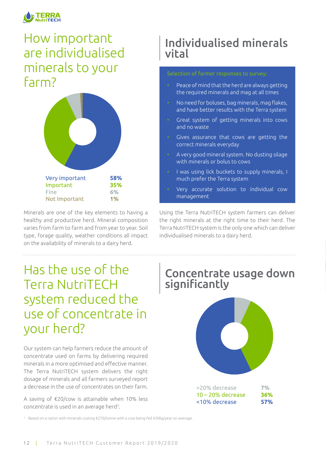

### How important are individualised minerals to your farm?



Minerals are one of the key elements to having a healthy and productive herd. Mineral composition varies from farm to farm and from year to year. Soil type, forage quality, weather conditions all impact on the availability of minerals to a dairy herd.

#### Individualised minerals vital

#### Selection of farmer responses to survey: • Peace of mind that the herd are always getting the required minerals and mag at all times

- No need for boluses, bag minerals, mag flakes, and have better results with the Terra system
- **e** Great system of getting minerals into cows and no waste
- **EXECUTE:** Gives assurance that cows are getting the **Example 2** correct minerals everyday
	- A very good mineral system. No dusting silage with minerals or bolus to cows
	- I was using lick buckets to supply minerals. I much prefer the Terra system
	- Very accurate solution to individual cow management

Using the Terra NutriTECH system farmers can deliver the right minerals at the right time to their herd. The Terra NutriTECH system is the only one which can deliver individualised minerals to a dairy herd.

### Has the use of the Terra NutriTECH system reduced the use of concentrate in your herd?

Our system can help farmers reduce the amount of concentrate used on farms by delivering required minerals in a more optimised and effective manner. The Terra NutriTECH system delivers the right dosage of minerals and all farmers surveyed report a decrease in the use of concentrates on their farm.

A saving of €20/cow is attainable when 10% less concentrate is used in an average herd<sup>3</sup>.

#### Concentrate usage down significantly



<sup>3</sup> Based on a ration with minerals costing €270/tonne with a cow being fed 650kg/year on average.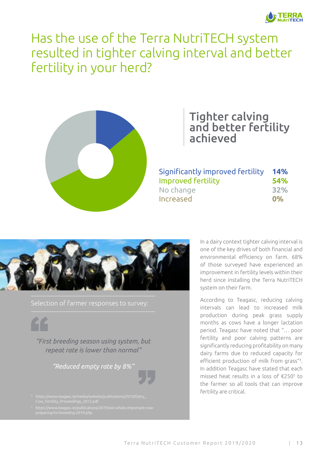

### Has the use of the Terra NutriTECH system resulted in tighter calving interval and better fertility in your herd?



#### Tighter calving and better fertility achieved

| Significantly improved fertility | <b>14%</b> |
|----------------------------------|------------|
| <b>Improved fertility</b>        | <b>54%</b> |
| No change                        | 32%        |
| Increased                        | $0\%$      |



Selection of farmer responses to survey:

<10% decrease **57%** *"First breeding season using system, but repeat rate is lower than normal"*

*"Reduced empty rate by 8%"*

- 
- preparing-for-breeding-2019.php

In a dairy context tighter calving interval is one of the key drives of both financial and environmental efficiency on farm. 68% of those surveyed have experienced an improvement in fertility levels within their herd since installing the Terra NutriTECH system on their farm.

According to Teagasc, reducing calving intervals can lead to increased milk production during peak grass supply months as cows have a longer lactation period. Teagasc have noted that "… poor fertility and poor calving patterns are significantly reducing profitability on many dairy farms due to reduced capacity for efficient production of milk from grass"<sup>4</sup> . In addition Teagasc have stated that each missed heat results in a loss of  $£250<sup>5</sup>$  to the farmer so all tools that can improve fertility are critical.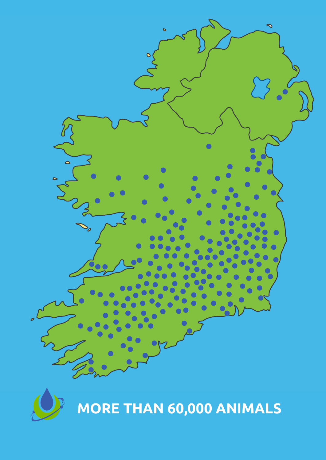

# **MORE THAN 60,000 ANIMALS**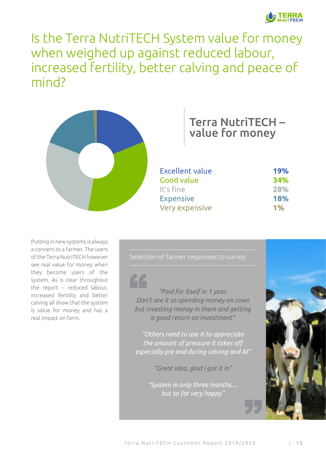

Is the Terra NutriTECH System value for money when weighed up against reduced labour, increased fertility, better calving and peace of mind?



#### Terra NutriTECH – value for money

| <b>Excellent value</b> | 19% |
|------------------------|-----|
| <b>Good value</b>      | 34% |
| It's fine              | 28% |
| <b>Expensive</b>       | 18% |
| <b>Very expensive</b>  | 1%  |

Putting in new systems is always a concern to a farmer. The users of the Terra NutriTECH however see real value for money when they become users of the system. As is clear throughout the report – reduced labour, increased fertility and better calving all show that the system is value for money and has a real impact on farm.

Selection of farmer responses to survey:

££

*"Paid for itself in 1 year. Don't see it as spending money on cows but investing money in them and getting a good return on investment"*

*"Others need to use it to appreciate the amount of pressure it takes off especially pre and during calving and AI"*

*"Great idea, glad I got it in"*

*"System in only three months.... but so far very happy"*

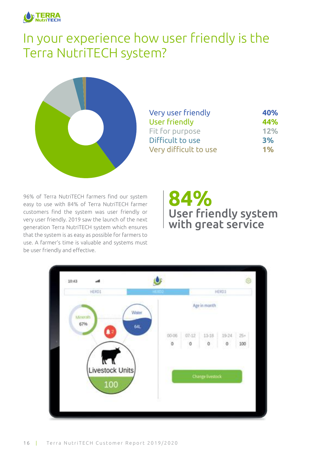

### In your experience how user friendly is the Terra NutriTECH system?



| <b>Very user friendly</b> | 40%   |
|---------------------------|-------|
| <b>User friendly</b>      | 44%   |
| Fit for purpose           | 12%   |
| Difficult to use          | 3%    |
| Very difficult to use     | $1\%$ |

96% of Terra NutriTECH farmers find our system easy to use with 84% of Terra NutriTECH farmer customers find the system was user friendly or very user friendly. 2019 saw the launch of the next generation Terra NutriTECH system which ensures that the system is as easy as possible for farmers to use. A farmer's time is valuable and systems must be user friendly and effective.

#### User friendly system with great service **84%**

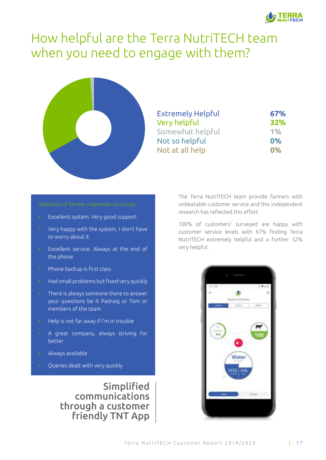

### How helpful are the Terra NutriTECH team when you need to engage with them?



| <b>Extremely Helpful</b> | 67% |
|--------------------------|-----|
| Very helpful             | 32% |
| Somewhat helpful         | 1%  |
| Not so helpful           | 0%  |
| Not at all help          | 0%  |

- Excellent system. Very good support
- Very happy with the system. I don't have to worry about it
- Excellent service. Always at the end of the phone
- Phone backup is first class
- Had small problems but fixed very quickly
- There is always someone there to answer your questions be it Padraig or Tom or members of the team
- Help is not far away if I'm in trouble
- A great company, always striving for better
- Always available
- Queries dealt with very quickly

#### Simplified communications through a customer friendly TNT App

The Terra NutriTECH team provide farmers with unbeatable customer service and this independent research has reflected this effort.

100% of customers' surveyed are happy with customer service levels with 67% finding Terra NutriTECH extremely helpful and a further 32% very helpful.

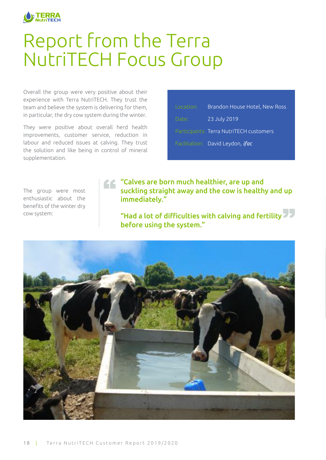

## Report from the Terra NutriTECH Focus Group

Overall the group were very positive about their experience with Terra NutriTECH. They trust the team and believe the system is delivering for them, in particular, the dry cow system during the winter.

They were positive about overall herd health improvements, customer service, reduction in labour and reduced issues at calving. They trust the solution and like being in control of mineral supplementation.

| Location: | Brandon House Hotel, New Ross           |
|-----------|-----------------------------------------|
| Date:     | 23 July 2019                            |
|           | Participants: Terra NutriTECH customers |
|           | Facilitation: David Leydon, ifac        |

The group were most enthusiastic about the benefits of the winter dry cow system:

"Calves are born much healthier, are up and suckling straight away and the cow is healthy and up immediately."

"Had a lot of difficulties with calving and fertility before using the system."

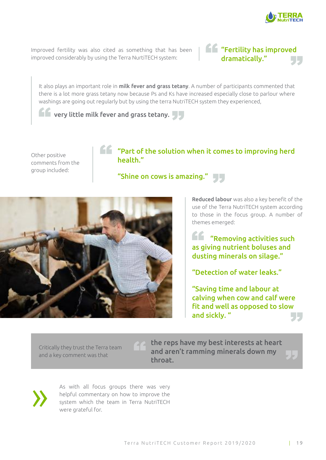

Improved fertility was also cited as something that has been improved considerably by using the Terra NurtiTECH system:



It also plays an important role in milk fever and grass tetany. A number of participants commented that there is a lot more grass tetany now because Ps and Ks have increased especially close to parlour where washings are going out regularly but by using the terra NutriTECH system they experienced,

 $\blacksquare$  very little milk fever and grass tetany.  $\blacksquare\blacksquare$ 

Other positive comments from the group included:

#### **EX** "Part of the solution when it comes to improving herd health."

"Shine on cows is amazing."



Reduced labour was also a key benefit of the use of the Terra NutriTECH system according to those in the focus group. A number of themes emerged:

**EF** "Removing activities such as giving nutrient boluses and dusting minerals on silage."

"Detection of water leaks."

"Saving time and labour at calving when cow and calf were fit and well as opposed to slow and sickly. "

Critically they trust the Terra team and a key comment was that

the reps have my best interests at heart and aren't ramming minerals down my throat.



As with all focus groups there was very helpful commentary on how to improve the As with all focus groups there was very<br>helpful commentary on how to improve the<br>system which the team in Terra NutriTECH<br>were grateful for. were grateful for.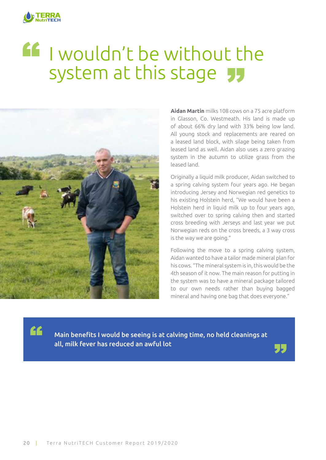

## I wouldn't be without the system at this stage 77



**Aidan Martin** milks 108 cows on a 75 acre platform in Glasson, Co. Westmeath. His land is made up of about 66% dry land with 33% being low land. All young stock and replacements are reared on a leased land block, with silage being taken from leased land as well. Aidan also uses a zero grazing system in the autumn to utilize grass from the leased land.

Originally a liquid milk producer, Aidan switched to a spring calving system four years ago. He began introducing Jersey and Norwegian red genetics to his existing Holstein herd, "We would have been a Holstein herd in liquid milk up to four years ago, switched over to spring calving then and started cross breeding with Jerseys and last year we put Norwegian reds on the cross breeds, a 3 way cross is the way we are going."

Following the move to a spring calving system, Aidan wanted to have a tailor made mineral plan for his cows. "The mineral system is in, this would be the 4th season of it now. The main reason for putting in the system was to have a mineral package tailored to our own needs rather than buying bagged mineral and having one bag that does everyone."

"

Main benefits I would be seeing is at calving time, no held cleanings at all, milk fever has reduced an awful lot

ر بار *.*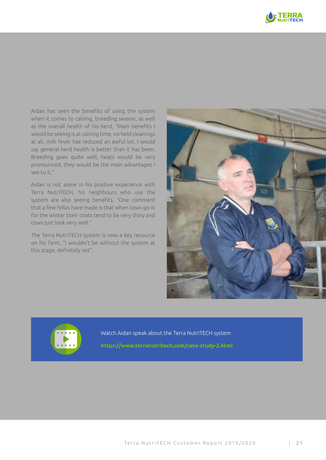

Aidan has seen the benefits of using the system when it comes to calving, breeding season, as well as the overall health of his herd, "Main benefits I would be seeing is at calving time, no held cleanings at all, milk fever has reduced an awful lot. I would say general herd health is better than it has been. Breeding goes quite well, heats would be very pronounced, they would be the main advantages I see to it."

Aidan is not alone in his positive experience with Terra NutriTECH, his neighbours who use the system are also seeing benefits, "One comment that a few fellas have made is that when cows go in for the winter their coats tend to be very shiny and cows just look very well."

The Terra NutriTECH system is now a key resource on his farm, "I wouldn't be without the system at this stage, definitely not".





Watch Aidan speak about the Terra NutriTECH system **https://www.terranutritech.com/case-study-2.html**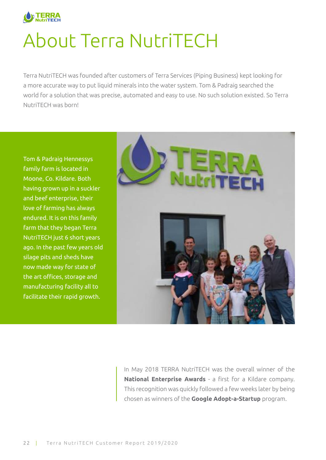

## About Terra NutriTECH

Terra NutriTECH was founded after customers of Terra Services (Piping Business) kept looking for a more accurate way to put liquid minerals into the water system. Tom & Padraig searched the world for a solution that was precise, automated and easy to use. No such solution existed. So Terra NutriTECH was born!

Tom & Padraig Hennessys family farm is located in Moone, Co. Kildare. Both having grown up in a suckler and beef enterprise, their love of farming has always endured. It is on this family farm that they began Terra NutriTECH just 6 short years ago. In the past few years old silage pits and sheds have now made way for state of the art offices, storage and manufacturing facility all to facilitate their rapid growth.



In May 2018 TERRA NutriTECH was the overall winner of the **National Enterprise Awards** - a first for a Kildare company. This recognition was quickly followed a few weeks later by being chosen as winners of the **Google Adopt-a-Startup** program.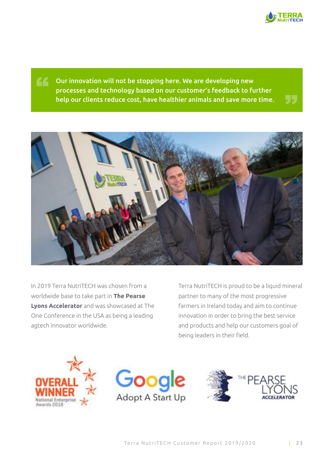

" Our innovation will not be stopping here. We are developing new processes and technology based on our customer's feedback to further help our clients reduce cost, have healthier animals and save more time.



In 2019 Terra NutriTECH was chosen from a worldwide base to take part in **The Pearse Lyons Accelerator** and was showcased at The One Conference in the USA as being a leading agtech innovator worldwide.

Terra NutriTECH is proud to be a liquid mineral partner to many of the most progressive farmers in Ireland today and aim to continue innovation in order to bring the best service and products and help our customers goal of being leaders in their field.